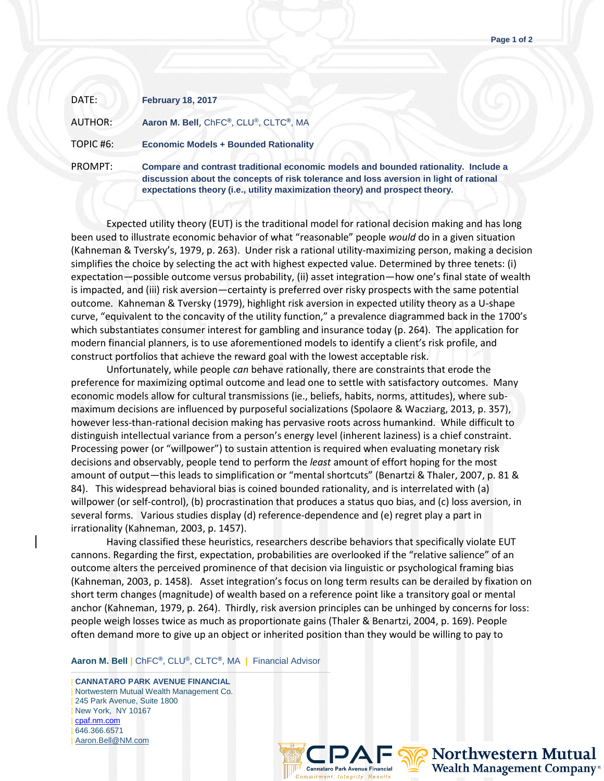| DATE:          | <b>February 18, 2017</b>                                                                        |
|----------------|-------------------------------------------------------------------------------------------------|
| <b>AUTHOR:</b> | Aaron M. Bell, ChFC®, CLU®, CLTC®, MA                                                           |
| TOPIC #6:      | <b>Economic Models + Bounded Rationality</b>                                                    |
| PROMPT:        | <b>Compare and contrast traditional economic</b><br>discussion about the concepts of risk toler |

c models and bounded rationality. Include a ance and loss aversion in light of rational **expectations theory (i.e., utility maximization theory) and prospect theory.**

Expected utility theory (EUT) is the traditional model for rational decision making and has long been used to illustrate economic behavior of what "reasonable" people *would* do in a given situation (Kahneman & Tversky's, 1979, p. 263). Under risk a rational utility-maximizing person, making a decision simplifies the choice by selecting the act with highest expected value. Determined by three tenets: (i) expectation—possible outcome versus probability, (ii) asset integration—how one's final state of wealth is impacted, and (iii) risk aversion—certainty is preferred over risky prospects with the same potential outcome. Kahneman & Tversky (1979), highlight risk aversion in expected utility theory as a U-shape curve, "equivalent to the concavity of the utility function," a prevalence diagrammed back in the 1700's which substantiates consumer interest for gambling and insurance today (p. 264). The application for modern financial planners, is to use aforementioned models to identify a client's risk profile, and construct portfolios that achieve the reward goal with the lowest acceptable risk.

Unfortunately, while people *can* behave rationally, there are constraints that erode the preference for maximizing optimal outcome and lead one to settle with satisfactory outcomes. Many economic models allow for cultural transmissions (ie., beliefs, habits, norms, attitudes), where submaximum decisions are influenced by purposeful socializations (Spolaore & Wacziarg, 2013, p. 357), however less-than-rational decision making has pervasive roots across humankind. While difficult to distinguish intellectual variance from a person's energy level (inherent laziness) is a chief constraint. Processing power (or "willpower") to sustain attention is required when evaluating monetary risk decisions and observably, people tend to perform the *least* amount of effort hoping for the most amount of output—this leads to simplification or "mental shortcuts" (Benartzi & Thaler, 2007, p. 81 & 84). This widespread behavioral bias is coined bounded rationality, and is interrelated with (a) willpower (or self-control), (b) procrastination that produces a status quo bias, and (c) loss aversion, in several forms. Various studies display (d) reference-dependence and (e) regret play a part in irrationality (Kahneman, 2003, p. 1457).

Having classified these heuristics, researchers describe behaviors that specifically violate EUT cannons. Regarding the first, expectation, probabilities are overlooked if the "relative salience" of an outcome alters the perceived prominence of that decision via linguistic or psychological framing bias (Kahneman, 2003, p. 1458). Asset integration's focus on long term results can be derailed by fixation on short term changes (magnitude) of wealth based on a reference point like a transitory goal or mental anchor (Kahneman, 1979, p. 264). Thirdly, risk aversion principles can be unhinged by concerns for loss: people weigh losses twice as much as proportionate gains (Thaler & Benartzi, 2004, p. 169). People often demand more to give up an object or inherited position than they would be willing to pay to

**Aaron M. Bell |** ChFC**®**, CLU®, CLTC**®**, MA **|** Financial Advisor

——————————————————————————————————— | **CANNATARO PARK AVENUE FINANCIAL** | Nortwestern Mutual Wealth Management Co. | 245 Park Avenue, Suite 1800 | New York, NY 10167 | [cpaf.nm.com](http://www.cpaf.nm.com/) | 646.366.6571 | [Aaron.Bell@NM.com](mailto:Aaron.Bell@NM.com)



**Northwestern Mutual Wealth Management Company®**